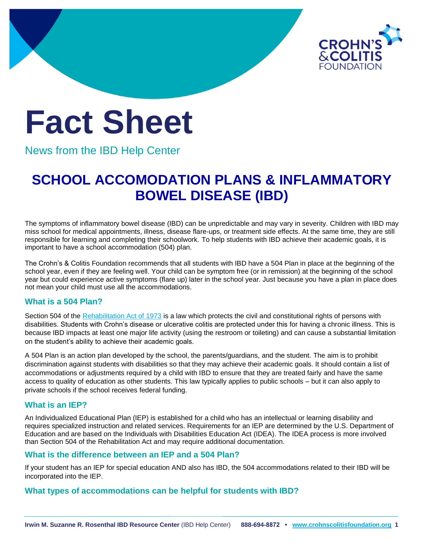

# **Fact Sheet**

News from the IBD Help Center

# **SCHOOL ACCOMODATION PLANS & INFLAMMATORY BOWEL DISEASE (IBD)**

The symptoms of inflammatory bowel disease (IBD) can be unpredictable and may vary in severity. Children with IBD may miss school for medical appointments, illness, disease flare-ups, or treatment side effects. At the same time, they are still responsible for learning and completing their schoolwork. To help students with IBD achieve their academic goals, it is important to have a school accommodation (504) plan.

The Crohn's & Colitis Foundation recommends that all students with IBD have a 504 Plan in place at the beginning of the school year, even if they are feeling well. Your child can be symptom free (or in remission) at the beginning of the school year but could experience active symptoms (flare up) later in the school year. Just because you have a plan in place does not mean your child must use all the accommodations.

# **What is a 504 Plan?**

Section 504 of the [Rehabilitation Act of 1973](https://www2.ed.gov/policy/speced/reg/narrative.html) is a law which protects the civil and constitutional rights of persons with disabilities. Students with Crohn's disease or ulcerative colitis are protected under this for having a chronic illness. This is because IBD impacts at least one major life activity (using the restroom or toileting) and can cause a substantial limitation on the student's ability to achieve their academic goals.

A 504 Plan is an action plan developed by the school, the parents/guardians, and the student. The aim is to prohibit discrimination against students with disabilities so that they may achieve their academic goals. It should contain a list of accommodations or adjustments required by a child with IBD to ensure that they are treated fairly and have the same access to quality of education as other students. This law typically applies to public schools – but it can also apply to private schools if the school receives federal funding.

#### **What is an IEP?**

An Individualized Educational Plan (IEP) is established for a child who has an intellectual or learning disability and requires specialized instruction and related services. Requirements for an IEP are determined by the U.S. Department of Education and are based on the Individuals with Disabilities Education Act (IDEA). The IDEA process is more involved than Section 504 of the Rehabilitation Act and may require additional documentation.

#### **What is the difference between an IEP and a 504 Plan?**

If your student has an IEP for special education AND also has IBD, the 504 accommodations related to their IBD will be incorporated into the IEP.

#### **What types of accommodations can be helpful for students with IBD?**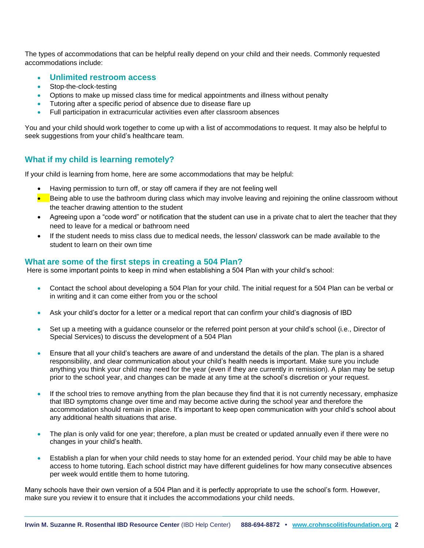The types of accommodations that can be helpful really depend on your child and their needs. Commonly requested accommodations include:

- **Unlimited restroom access**
- Stop-the-clock-testing
- Options to make up missed class time for medical appointments and illness without penalty
- Tutoring after a specific period of absence due to disease flare up
- Full participation in extracurricular activities even after classroom absences

You and your child should work together to come up with a list of accommodations to request. It may also be helpful to seek suggestions from your child's healthcare team.

### **What if my child is learning remotely?**

If your child is learning from home, here are some accommodations that may be helpful:

- Having permission to turn off, or stay off camera if they are not feeling well
- Being able to use the bathroom during class which may involve leaving and rejoining the online classroom without the teacher drawing attention to the student
- Agreeing upon a "code word" or notification that the student can use in a private chat to alert the teacher that they need to leave for a medical or bathroom need
- If the student needs to miss class due to medical needs, the lesson/ classwork can be made available to the student to learn on their own time

#### **What are some of the first steps in creating a 504 Plan?**

Here is some important points to keep in mind when establishing a 504 Plan with your child's school:

- Contact the school about developing a 504 Plan for your child. The initial request for a 504 Plan can be verbal or in writing and it can come either from you or the school
- Ask your child's doctor for a letter or a medical report that can confirm your child's diagnosis of IBD
- Set up a meeting with a guidance counselor or the referred point person at your child's school (i.e., Director of Special Services) to discuss the development of a 504 Plan
- Ensure that all your child's teachers are aware of and understand the details of the plan. The plan is a shared responsibility, and clear communication about your child's health needs is important. Make sure you include anything you think your child may need for the year (even if they are currently in remission). A plan may be setup prior to the school year, and changes can be made at any time at the school's discretion or your request.
- If the school tries to remove anything from the plan because they find that it is not currently necessary, emphasize that IBD symptoms change over time and may become active during the school year and therefore the accommodation should remain in place. It's important to keep open communication with your child's school about any additional health situations that arise.
- The plan is only valid for one year; therefore, a plan must be created or updated annually even if there were no changes in your child's health.
- Establish a plan for when your child needs to stay home for an extended period. Your child may be able to have access to home tutoring. Each school district may have different guidelines for how many consecutive absences per week would entitle them to home tutoring.

Many schools have their own version of a 504 Plan and it is perfectly appropriate to use the school's form. However, make sure you review it to ensure that it includes the accommodations your child needs.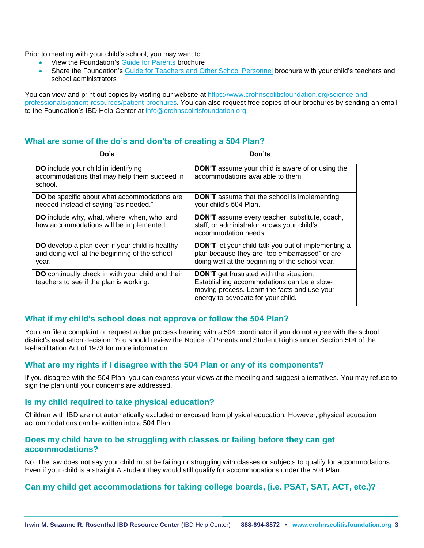Prior to meeting with your child's school, you may want to:

- View the Foundation's [Guide for Parents b](https://issuu.com/ccfa1/docs/parents-guide-brochure-final?fr=sYzIzNTM3MDAxNzI)rochure
- Share the Foundation's [Guide for Teachers and Other School Personnel](https://issuu.com/ccfa1/docs/parents-guide-brochure-final?fr=sYzIzNTM3MDAxNzI) brochure with your child's teachers and school administrators

You can view and print out copies by visiting our website at [https://www.crohnscolitisfoundation.org/science-and](https://www.crohnscolitisfoundation.org/science-and-professionals/patient-resources/patient-brochures)[professionals/patient-resources/patient-brochures.](https://www.crohnscolitisfoundation.org/science-and-professionals/patient-resources/patient-brochures) You can also request free copies of our brochures by sending an email to the Foundation's IBD Help Center at [info@crohnscolitisfoundation.org.](mailto:info@crohnscolitisfoundation.org)

# **What are some of the do's and don'ts of creating a 504 Plan?**

| Do's                                                                                                      | Don'ts                                                                                                                                                                              |
|-----------------------------------------------------------------------------------------------------------|-------------------------------------------------------------------------------------------------------------------------------------------------------------------------------------|
| <b>DO</b> include your child in identifying<br>accommodations that may help them succeed in<br>school.    | <b>DON'T</b> assume your child is aware of or using the<br>accommodations available to them.                                                                                        |
| <b>DO</b> be specific about what accommodations are<br>needed instead of saying "as needed."              | <b>DON'T</b> assume that the school is implementing<br>your child's 504 Plan.                                                                                                       |
| DO include why, what, where, when, who, and<br>how accommodations will be implemented.                    | DON'T assume every teacher, substitute, coach,<br>staff, or administrator knows your child's<br>accommodation needs.                                                                |
| DO develop a plan even if your child is healthy<br>and doing well at the beginning of the school<br>year. | <b>DON'T</b> let your child talk you out of implementing a<br>plan because they are "too embarrassed" or are<br>doing well at the beginning of the school year.                     |
| DO continually check in with your child and their<br>teachers to see if the plan is working.              | <b>DON'T</b> get frustrated with the situation.<br>Establishing accommodations can be a slow-<br>moving process. Learn the facts and use your<br>energy to advocate for your child. |

#### **What if my child's school does not approve or follow the 504 Plan?**

You can file a complaint or request a due process hearing with a 504 coordinator if you do not agree with the school district's evaluation decision. You should review the Notice of Parents and Student Rights under Section 504 of the Rehabilitation Act of 1973 for more information.

#### **What are my rights if I disagree with the 504 Plan or any of its components?**

If you disagree with the 504 Plan, you can express your views at the meeting and suggest alternatives. You may refuse to sign the plan until your concerns are addressed.

#### **Is my child required to take physical education?**

Children with IBD are not automatically excluded or excused from physical education. However, physical education accommodations can be written into a 504 Plan.

#### **Does my child have to be struggling with classes or failing before they can get accommodations?**

No. The law does not say your child must be failing or struggling with classes or subjects to qualify for accommodations. Even if your child is a straight A student they would still qualify for accommodations under the 504 Plan.

# **Can my child get accommodations for taking college boards, (i.e. PSAT, SAT, ACT, etc.)?**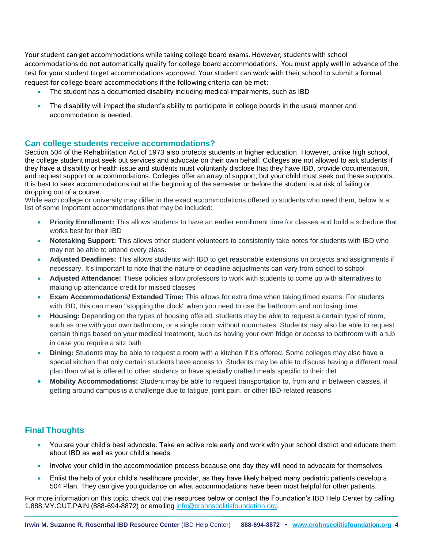Your student can get accommodations while taking college board exams. However, students with school accommodations do not automatically qualify for college board accommodations. You must apply well in advance of the test for your student to get accommodations approved. Your student can work with their school to submit a formal request for college board accommodations if the following criteria can be met:

- The student has a documented disability including medical impairments, such as IBD
- The disability will impact the student's ability to participate in college boards in the usual manner and accommodation is needed.

#### **Can college students receive accommodations?**

Section 504 of the Rehabilitation Act of 1973 also protects students in higher education. However, unlike high school, the college student must seek out services and advocate on their own behalf. Colleges are not allowed to ask students if they have a disability or health issue and students must voluntarily disclose that they have IBD, provide documentation, and request support or accommodations. Colleges offer an array of support, but your child must seek out these supports. It is best to seek accommodations out at the beginning of the semester or before the student is at risk of failing or dropping out of a course.

While each college or university may differ in the exact accommodations offered to students who need them, below is a list of some important accommodations that may be included:

- **Priority Enrollment:** This allows students to have an earlier enrollment time for classes and build a schedule that works best for their IBD
- **Notetaking Support:** This allows other student volunteers to consistently take notes for students with IBD who may not be able to attend every class.
- **Adjusted Deadlines:** This allows students with IBD to get reasonable extensions on projects and assignments if necessary. It's important to note that the nature of deadline adjustments can vary from school to school
- **Adjusted Attendance:** These policies allow professors to work with students to come up with alternatives to making up attendance credit for missed classes
- **Exam Accommodations/ Extended Time:** This allows for extra time when taking timed exams. For students with IBD, this can mean "stopping the clock" when you need to use the bathroom and not losing time
- **Housing:** Depending on the types of housing offered, students may be able to request a certain type of room, such as one with your own bathroom, or a single room without roommates. Students may also be able to request certain things based on your medical treatment, such as having your own fridge or access to bathroom with a tub in case you require a sitz bath
- **Dining:** Students may be able to request a room with a kitchen if it's offered. Some colleges may also have a special kitchen that only certain students have access to. Students may be able to discuss having a different meal plan than what is offered to other students or have specially crafted meals specific to their diet
- **Mobility Accommodations:** Student may be able to request transportation to, from and in between classes, if getting around campus is a challenge due to fatigue, joint pain, or other IBD-related reasons

# **Final Thoughts**

- You are your child's best advocate. Take an active role early and work with your school district and educate them about IBD as well as your child's needs
- Involve your child in the accommodation process because one day they will need to advocate for themselves
- Enlist the help of your child's healthcare provider, as they have likely helped many pediatric patients develop a 504 Plan. They can give you guidance on what accommodations have been most helpful for other patients.

For more information on this topic, check out the resources below or contact the Foundation's IBD Help Center by calling 1.888.MY.GUT.PAIN (888-694-8872) or emailing [info@crohnscolitisfoundation.org.](mailto:info@crohnscolitisfoundation.org)